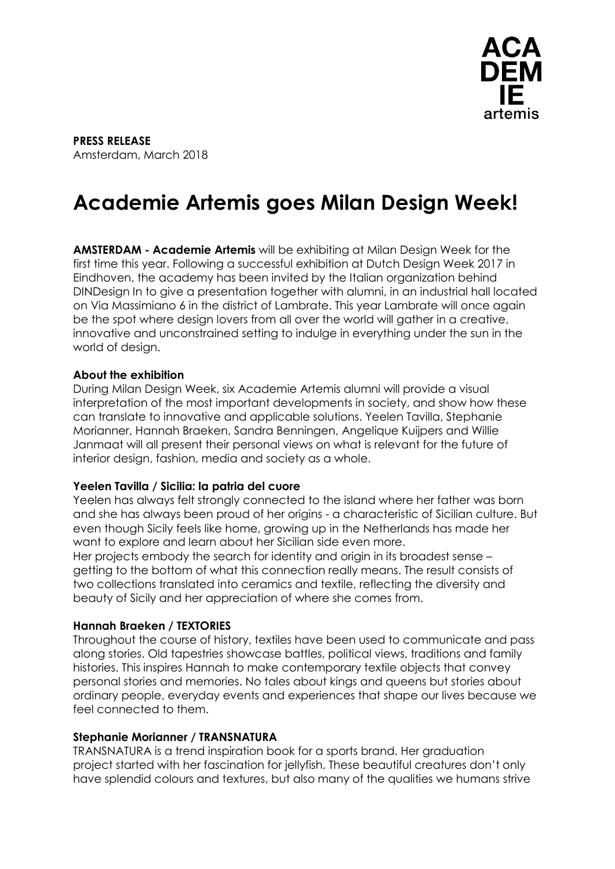

**PRESS RELEASE** Amsterdam, March 2018

# **Academie Artemis goes Milan Design Week!**

**AMSTERDAM - Academie Artemis** will be exhibiting at Milan Design Week for the first time this year. Following a successful exhibition at Dutch Design Week 2017 in Eindhoven, the academy has been invited by the Italian organization behind DINDesign In to give a presentation together with alumni, in an industrial hall located on Via Massimiano 6 in the district of Lambrate. This year Lambrate will once again be the spot where design lovers from all over the world will gather in a creative, innovative and unconstrained setting to indulge in everything under the sun in the world of design.

#### **About the exhibition**

During Milan Design Week, six Academie Artemis alumni will provide a visual interpretation of the most important developments in society, and show how these can translate to innovative and applicable solutions. Yeelen Tavilla, Stephanie Morianner, Hannah Braeken, Sandra Benningen, Angelique Kuijpers and Willie Janmaat will all present their personal views on what is relevant for the future of interior design, fashion, media and society as a whole.

#### **Yeelen Tavilla / Sicilia: la patria del cuore**

Yeelen has always felt strongly connected to the island where her father was born and she has always been proud of her origins - a characteristic of Sicilian culture. But even though Sicily feels like home, growing up in the Netherlands has made her want to explore and learn about her Sicilian side even more.

Her projects embody the search for identity and origin in its broadest sense – getting to the bottom of what this connection really means. The result consists of two collections translated into ceramics and textile, reflecting the diversity and beauty of Sicily and her appreciation of where she comes from.

## **Hannah Braeken / TEXTORIES**

Throughout the course of history, textiles have been used to communicate and pass along stories. Old tapestries showcase battles, political views, traditions and family histories. This inspires Hannah to make contemporary textile objects that convey personal stories and memories. No tales about kings and queens but stories about ordinary people, everyday events and experiences that shape our lives because we feel connected to them.

#### **Stephanie Morianner / TRANSNATURA**

TRANSNATURA is a trend inspiration book for a sports brand. Her graduation project started with her fascination for jellyfish. These beautiful creatures don't only have splendid colours and textures, but also many of the qualities we humans strive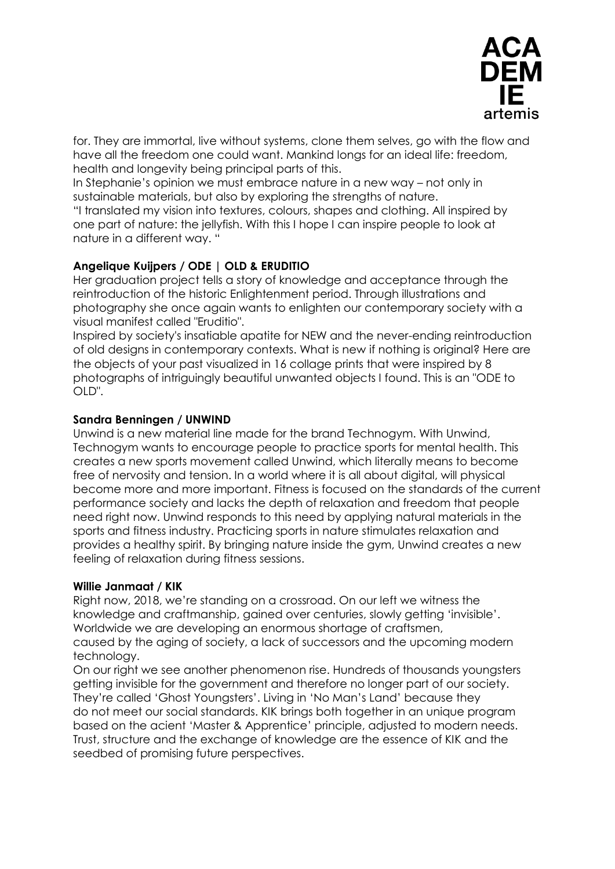

for. They are immortal, live without systems, clone them selves, go with the flow and have all the freedom one could want. Mankind longs for an ideal life: freedom, health and longevity being principal parts of this.

In Stephanie's opinion we must embrace nature in a new way – not only in sustainable materials, but also by exploring the strengths of nature.

"I translated my vision into textures, colours, shapes and clothing. All inspired by one part of nature: the jellyfish. With this I hope I can inspire people to look at nature in a different way. "

## **Angelique Kuijpers / ODE | OLD & ERUDITIO**

Her graduation project tells a story of knowledge and acceptance through the reintroduction of the historic Enlightenment period. Through illustrations and photography she once again wants to enlighten our contemporary society with a visual manifest called "Eruditio".

Inspired by society's insatiable apatite for NEW and the never-ending reintroduction of old designs in contemporary contexts. What is new if nothing is original? Here are the objects of your past visualized in 16 collage prints that were inspired by 8 photographs of intriguingly beautiful unwanted objects I found. This is an "ODE to OLD".

## **Sandra Benningen / UNWIND**

Unwind is a new material line made for the brand Technogym. With Unwind, Technogym wants to encourage people to practice sports for mental health. This creates a new sports movement called Unwind, which literally means to become free of nervosity and tension. In a world where it is all about digital, will physical become more and more important. Fitness is focused on the standards of the current performance society and lacks the depth of relaxation and freedom that people need right now. Unwind responds to this need by applying natural materials in the sports and fitness industry. Practicing sports in nature stimulates relaxation and provides a healthy spirit. By bringing nature inside the gym, Unwind creates a new feeling of relaxation during fitness sessions.

## **Willie Janmaat / KIK**

Right now, 2018, we're standing on a crossroad. On our left we witness the knowledge and craftmanship, gained over centuries, slowly getting 'invisible'. Worldwide we are developing an enormous shortage of craftsmen, caused by the aging of society, a lack of successors and the upcoming modern technology.

On our right we see another phenomenon rise. Hundreds of thousands youngsters getting invisible for the government and therefore no longer part of our society. They're called 'Ghost Youngsters'. Living in 'No Man's Land' because they do not meet our social standards. KIK brings both together in an unique program based on the acient 'Master & Apprentice' principle, adjusted to modern needs. Trust, structure and the exchange of knowledge are the essence of KIK and the seedbed of promising future perspectives.